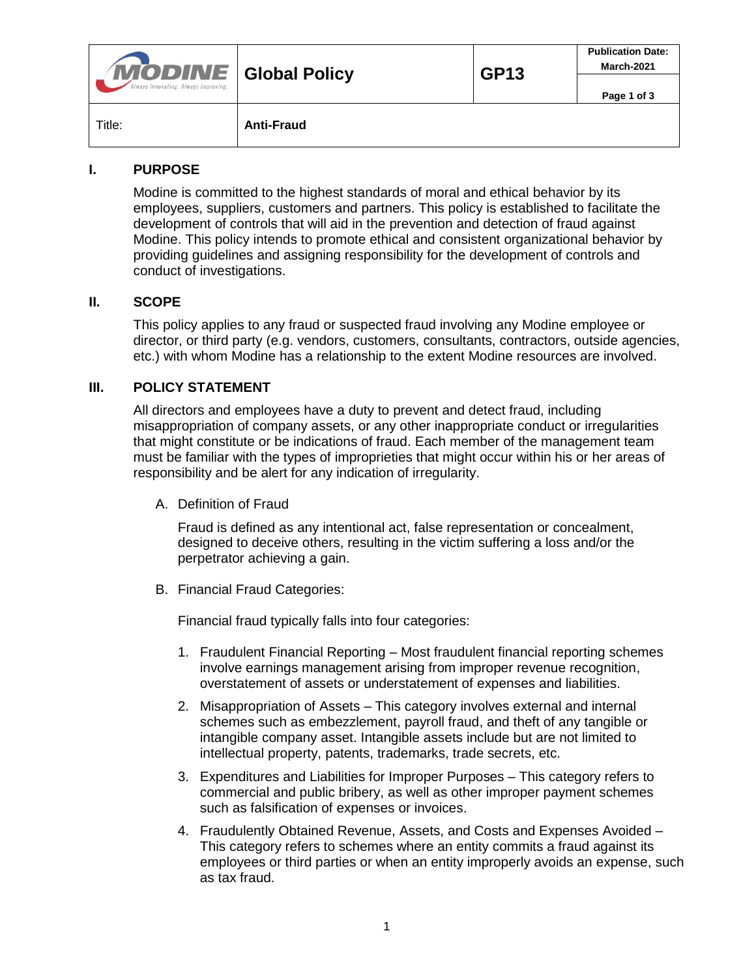| <b>MODINE</b> Global Policy<br>Always Innovating. Always Improving. |                   | <b>GP13</b> | <b>Publication Date:</b><br>March-2021 |
|---------------------------------------------------------------------|-------------------|-------------|----------------------------------------|
|                                                                     |                   |             | Page 1 of 3                            |
| Title:                                                              | <b>Anti-Fraud</b> |             |                                        |

## **I. PURPOSE**

Modine is committed to the highest standards of moral and ethical behavior by its employees, suppliers, customers and partners. This policy is established to facilitate the development of controls that will aid in the prevention and detection of fraud against Modine. This policy intends to promote ethical and consistent organizational behavior by providing guidelines and assigning responsibility for the development of controls and conduct of investigations.

#### **II. SCOPE**

This policy applies to any fraud or suspected fraud involving any Modine employee or director, or third party (e.g. vendors, customers, consultants, contractors, outside agencies, etc.) with whom Modine has a relationship to the extent Modine resources are involved.

## **III. POLICY STATEMENT**

All directors and employees have a duty to prevent and detect fraud, including misappropriation of company assets, or any other inappropriate conduct or irregularities that might constitute or be indications of fraud. Each member of the management team must be familiar with the types of improprieties that might occur within his or her areas of responsibility and be alert for any indication of irregularity.

A. Definition of Fraud

Fraud is defined as any intentional act, false representation or concealment, designed to deceive others, resulting in the victim suffering a loss and/or the perpetrator achieving a gain.

B. Financial Fraud Categories:

Financial fraud typically falls into four categories:

- 1. Fraudulent Financial Reporting Most fraudulent financial reporting schemes involve earnings management arising from improper revenue recognition, overstatement of assets or understatement of expenses and liabilities.
- 2. Misappropriation of Assets This category involves external and internal schemes such as embezzlement, payroll fraud, and theft of any tangible or intangible company asset. Intangible assets include but are not limited to intellectual property, patents, trademarks, trade secrets, etc.
- 3. Expenditures and Liabilities for Improper Purposes This category refers to commercial and public bribery, as well as other improper payment schemes such as falsification of expenses or invoices.
- 4. Fraudulently Obtained Revenue, Assets, and Costs and Expenses Avoided This category refers to schemes where an entity commits a fraud against its employees or third parties or when an entity improperly avoids an expense, such as tax fraud.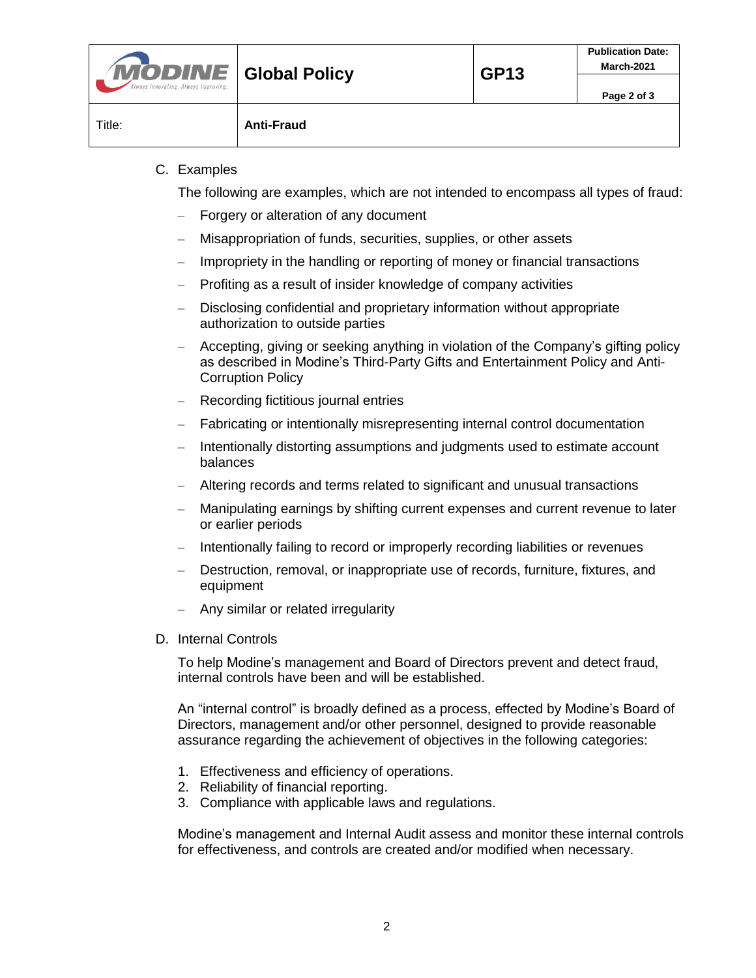| <b>MODINE</b> Global Policy<br>Always Innovating. Always Improving. |                   | <b>GP13</b> | <b>Publication Date:</b><br>March-2021 |
|---------------------------------------------------------------------|-------------------|-------------|----------------------------------------|
|                                                                     |                   |             | Page 2 of 3                            |
| Title:                                                              | <b>Anti-Fraud</b> |             |                                        |

### C. Examples

The following are examples, which are not intended to encompass all types of fraud:

- Forgery or alteration of any document
- Misappropriation of funds, securities, supplies, or other assets
- Impropriety in the handling or reporting of money or financial transactions
- Profiting as a result of insider knowledge of company activities
- Disclosing confidential and proprietary information without appropriate authorization to outside parties
- Accepting, giving or seeking anything in violation of the Company's gifting policy as described in Modine's Third-Party Gifts and Entertainment Policy and Anti-Corruption Policy
- Recording fictitious journal entries
- Fabricating or intentionally misrepresenting internal control documentation
- Intentionally distorting assumptions and judgments used to estimate account balances
- Altering records and terms related to significant and unusual transactions
- Manipulating earnings by shifting current expenses and current revenue to later or earlier periods
- Intentionally failing to record or improperly recording liabilities or revenues
- Destruction, removal, or inappropriate use of records, furniture, fixtures, and equipment
- Any similar or related irregularity
- D. Internal Controls

To help Modine's management and Board of Directors prevent and detect fraud, internal controls have been and will be established.

An "internal control" is broadly defined as a process, effected by Modine's Board of Directors, management and/or other personnel, designed to provide reasonable assurance regarding the achievement of objectives in the following categories:

- 1. Effectiveness and efficiency of operations.
- 2. Reliability of financial reporting.
- 3. Compliance with applicable laws and regulations.

Modine's management and Internal Audit assess and monitor these internal controls for effectiveness, and controls are created and/or modified when necessary.